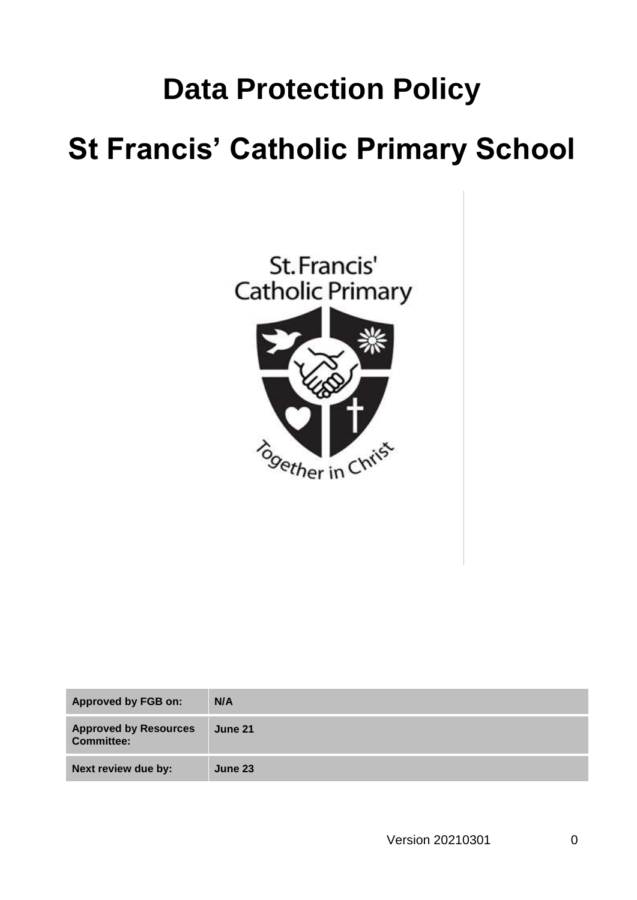## **Data Protection Policy**

# **St Francis' Catholic Primary School**



| <b>Approved by FGB on:</b>                        | N/A            |
|---------------------------------------------------|----------------|
| <b>Approved by Resources</b><br><b>Committee:</b> | <b>June 21</b> |
| Next review due by:                               | June 23        |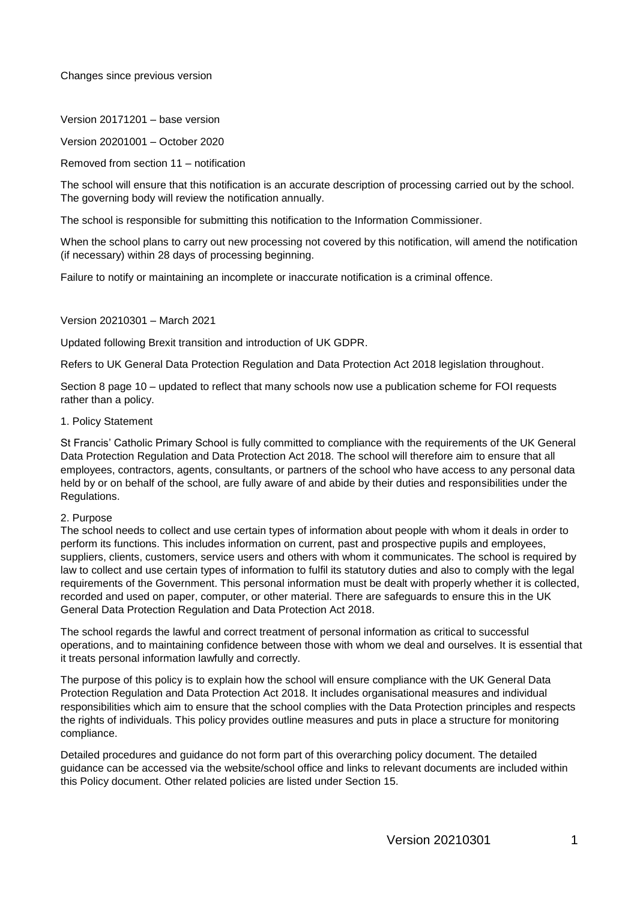Changes since previous version

Version 20171201 – base version

Version 20201001 – October 2020

Removed from section 11 – notification

The school will ensure that this notification is an accurate description of processing carried out by the school. The governing body will review the notification annually.

The school is responsible for submitting this notification to the Information Commissioner.

When the school plans to carry out new processing not covered by this notification, will amend the notification (if necessary) within 28 days of processing beginning.

Failure to notify or maintaining an incomplete or inaccurate notification is a criminal offence.

Version 20210301 – March 2021

Updated following Brexit transition and introduction of UK GDPR.

Refers to UK General Data Protection Regulation and Data Protection Act 2018 legislation throughout.

Section 8 page 10 – updated to reflect that many schools now use a publication scheme for FOI requests rather than a policy.

1. Policy Statement

St Francis' Catholic Primary School is fully committed to compliance with the requirements of the UK General Data Protection Regulation and Data Protection Act 2018. The school will therefore aim to ensure that all employees, contractors, agents, consultants, or partners of the school who have access to any personal data held by or on behalf of the school, are fully aware of and abide by their duties and responsibilities under the Regulations.

#### 2. Purpose

The school needs to collect and use certain types of information about people with whom it deals in order to perform its functions. This includes information on current, past and prospective pupils and employees, suppliers, clients, customers, service users and others with whom it communicates. The school is required by law to collect and use certain types of information to fulfil its statutory duties and also to comply with the legal requirements of the Government. This personal information must be dealt with properly whether it is collected, recorded and used on paper, computer, or other material. There are safeguards to ensure this in the UK General Data Protection Regulation and Data Protection Act 2018.

The school regards the lawful and correct treatment of personal information as critical to successful operations, and to maintaining confidence between those with whom we deal and ourselves. It is essential that it treats personal information lawfully and correctly.

The purpose of this policy is to explain how the school will ensure compliance with the UK General Data Protection Regulation and Data Protection Act 2018. It includes organisational measures and individual responsibilities which aim to ensure that the school complies with the Data Protection principles and respects the rights of individuals. This policy provides outline measures and puts in place a structure for monitoring compliance.

Detailed procedures and guidance do not form part of this overarching policy document. The detailed guidance can be accessed via the website/school office and links to relevant documents are included within this Policy document. Other related policies are listed under Section 15.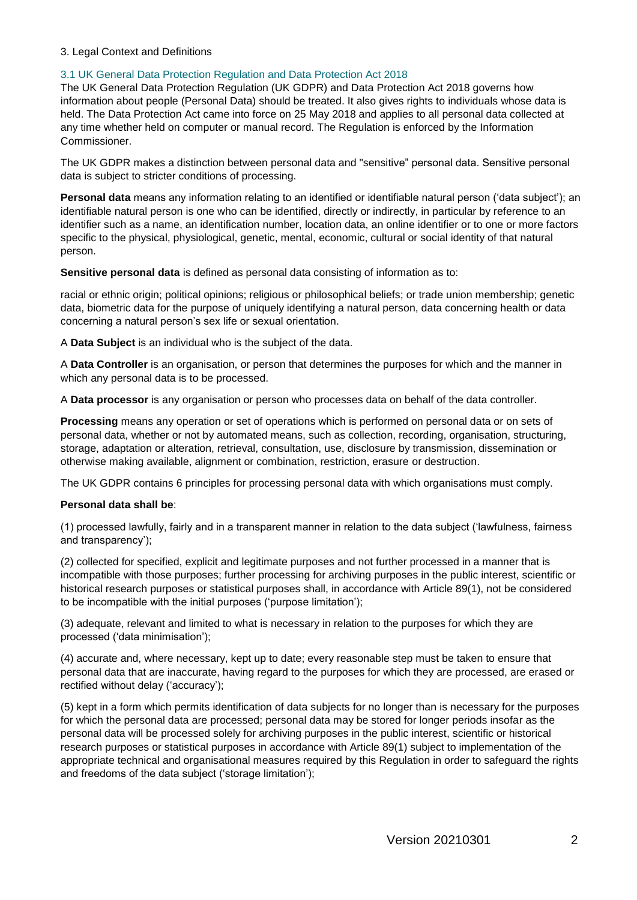### 3. Legal Context and Definitions

### 3.1 UK General Data Protection Regulation and Data Protection Act 2018

The UK General Data Protection Regulation (UK GDPR) and Data Protection Act 2018 governs how information about people (Personal Data) should be treated. It also gives rights to individuals whose data is held. The Data Protection Act came into force on 25 May 2018 and applies to all personal data collected at any time whether held on computer or manual record. The Regulation is enforced by the Information Commissioner.

The UK GDPR makes a distinction between personal data and "sensitive" personal data. Sensitive personal data is subject to stricter conditions of processing.

**Personal data** means any information relating to an identified or identifiable natural person ('data subject'); an identifiable natural person is one who can be identified, directly or indirectly, in particular by reference to an identifier such as a name, an identification number, location data, an online identifier or to one or more factors specific to the physical, physiological, genetic, mental, economic, cultural or social identity of that natural person.

**Sensitive personal data** is defined as personal data consisting of information as to:

racial or ethnic origin; political opinions; religious or philosophical beliefs; or trade union membership; genetic data, biometric data for the purpose of uniquely identifying a natural person, data concerning health or data concerning a natural person's sex life or sexual orientation.

A **Data Subject** is an individual who is the subject of the data.

A **Data Controller** is an organisation, or person that determines the purposes for which and the manner in which any personal data is to be processed.

A **Data processor** is any organisation or person who processes data on behalf of the data controller.

**Processing** means any operation or set of operations which is performed on personal data or on sets of personal data, whether or not by automated means, such as collection, recording, organisation, structuring, storage, adaptation or alteration, retrieval, consultation, use, disclosure by transmission, dissemination or otherwise making available, alignment or combination, restriction, erasure or destruction.

The UK GDPR contains 6 principles for processing personal data with which organisations must comply.

## **Personal data shall be**:

(1) processed lawfully, fairly and in a transparent manner in relation to the data subject ('lawfulness, fairness and transparency');

(2) collected for specified, explicit and legitimate purposes and not further processed in a manner that is incompatible with those purposes; further processing for archiving purposes in the public interest, scientific or historical research purposes or statistical purposes shall, in accordance with Article 89(1), not be considered to be incompatible with the initial purposes ('purpose limitation');

(3) adequate, relevant and limited to what is necessary in relation to the purposes for which they are processed ('data minimisation');

(4) accurate and, where necessary, kept up to date; every reasonable step must be taken to ensure that personal data that are inaccurate, having regard to the purposes for which they are processed, are erased or rectified without delay ('accuracy');

(5) kept in a form which permits identification of data subjects for no longer than is necessary for the purposes for which the personal data are processed; personal data may be stored for longer periods insofar as the personal data will be processed solely for archiving purposes in the public interest, scientific or historical research purposes or statistical purposes in accordance with Article 89(1) subject to implementation of the appropriate technical and organisational measures required by this Regulation in order to safeguard the rights and freedoms of the data subject ('storage limitation');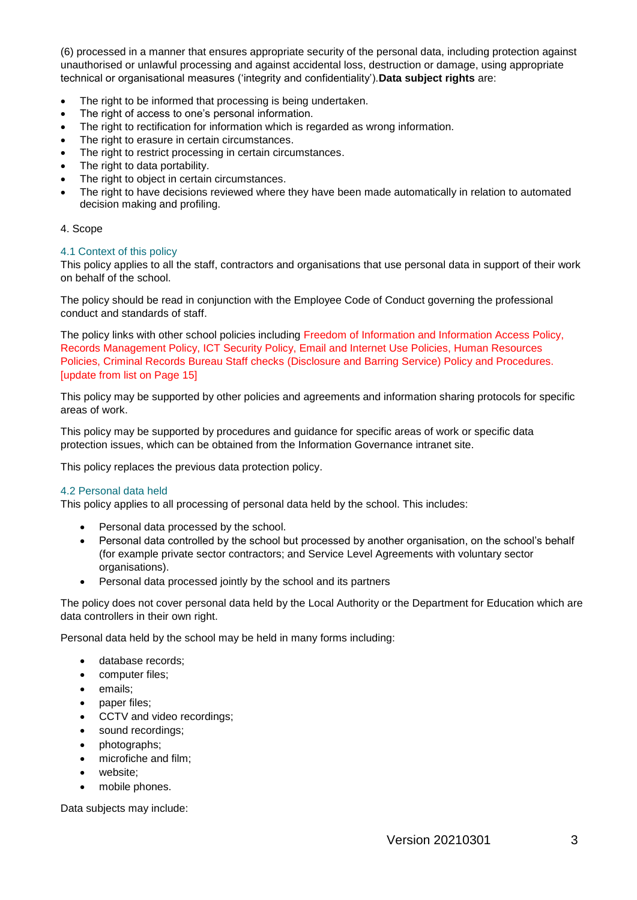(6) processed in a manner that ensures appropriate security of the personal data, including protection against unauthorised or unlawful processing and against accidental loss, destruction or damage, using appropriate technical or organisational measures ('integrity and confidentiality').**Data subject rights** are:

- The right to be informed that processing is being undertaken.
- The right of access to one's personal information.
- The right to rectification for information which is regarded as wrong information.
- The right to erasure in certain circumstances.
- The right to restrict processing in certain circumstances.
- The right to data portability.
- The right to object in certain circumstances.
- The right to have decisions reviewed where they have been made automatically in relation to automated decision making and profiling.

## 4. Scope

## 4.1 Context of this policy

This policy applies to all the staff, contractors and organisations that use personal data in support of their work on behalf of the school.

The policy should be read in conjunction with the Employee Code of Conduct governing the professional conduct and standards of staff.

The policy links with other school policies including Freedom of Information and Information Access Policy, Records Management Policy, ICT Security Policy, Email and Internet Use Policies, Human Resources Policies, Criminal Records Bureau Staff checks (Disclosure and Barring Service) Policy and Procedures. **Iupdate from list on Page 151** 

This policy may be supported by other policies and agreements and information sharing protocols for specific areas of work.

This policy may be supported by procedures and guidance for specific areas of work or specific data protection issues, which can be obtained from the Information Governance intranet site.

This policy replaces the previous data protection policy.

## 4.2 Personal data held

This policy applies to all processing of personal data held by the school. This includes:

- Personal data processed by the school.
- Personal data controlled by the school but processed by another organisation, on the school's behalf (for example private sector contractors; and Service Level Agreements with voluntary sector organisations).
- Personal data processed jointly by the school and its partners

The policy does not cover personal data held by the Local Authority or the Department for Education which are data controllers in their own right.

Personal data held by the school may be held in many forms including:

- database records;
- computer files;
- emails;
- paper files:
- CCTV and video recordings;
- sound recordings;
- photographs:
- microfiche and film;
- website;
- mobile phones.

Data subjects may include: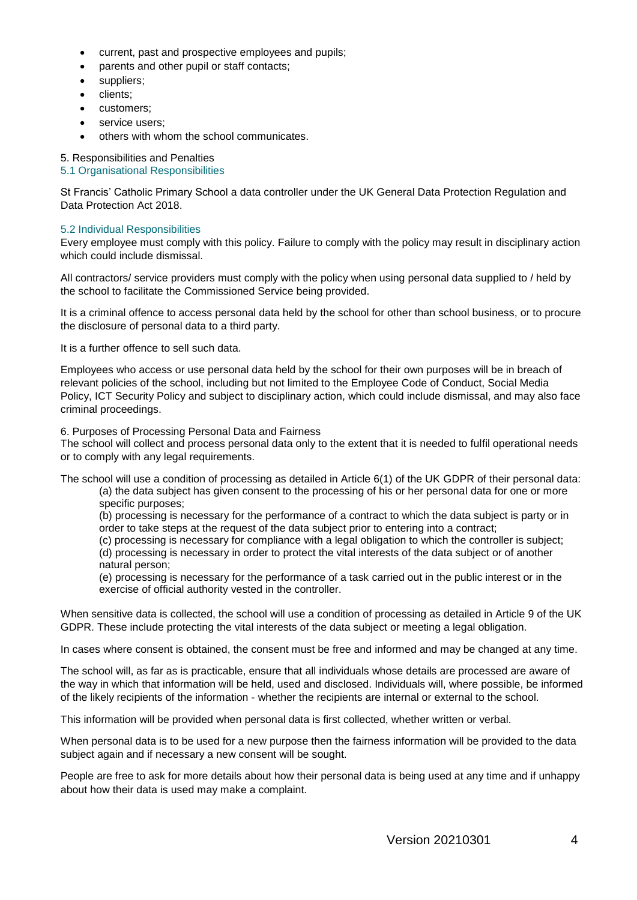- current, past and prospective employees and pupils;
- parents and other pupil or staff contacts;
- suppliers;
- clients:
- customers:
- service users;
- others with whom the school communicates.

## 5. Responsibilities and Penalties

## 5.1 Organisational Responsibilities

St Francis' Catholic Primary School a data controller under the UK General Data Protection Regulation and Data Protection Act 2018.

## 5.2 Individual Responsibilities

Every employee must comply with this policy. Failure to comply with the policy may result in disciplinary action which could include dismissal.

All contractors/ service providers must comply with the policy when using personal data supplied to / held by the school to facilitate the Commissioned Service being provided.

It is a criminal offence to access personal data held by the school for other than school business, or to procure the disclosure of personal data to a third party.

It is a further offence to sell such data.

Employees who access or use personal data held by the school for their own purposes will be in breach of relevant policies of the school, including but not limited to the Employee Code of Conduct, Social Media Policy, ICT Security Policy and subject to disciplinary action, which could include dismissal, and may also face criminal proceedings.

6. Purposes of Processing Personal Data and Fairness

The school will collect and process personal data only to the extent that it is needed to fulfil operational needs or to comply with any legal requirements.

The school will use a condition of processing as detailed in Article 6(1) of the UK GDPR of their personal data:

(a) the data subject has given consent to the processing of his or her personal data for one or more specific purposes;

(b) processing is necessary for the performance of a contract to which the data subject is party or in order to take steps at the request of the data subject prior to entering into a contract;

(c) processing is necessary for compliance with a legal obligation to which the controller is subject; (d) processing is necessary in order to protect the vital interests of the data subject or of another

natural person;

(e) processing is necessary for the performance of a task carried out in the public interest or in the exercise of official authority vested in the controller.

When sensitive data is collected, the school will use a condition of processing as detailed in Article 9 of the UK GDPR. These include protecting the vital interests of the data subject or meeting a legal obligation.

In cases where consent is obtained, the consent must be free and informed and may be changed at any time.

The school will, as far as is practicable, ensure that all individuals whose details are processed are aware of the way in which that information will be held, used and disclosed. Individuals will, where possible, be informed of the likely recipients of the information - whether the recipients are internal or external to the school.

This information will be provided when personal data is first collected, whether written or verbal.

When personal data is to be used for a new purpose then the fairness information will be provided to the data subject again and if necessary a new consent will be sought.

People are free to ask for more details about how their personal data is being used at any time and if unhappy about how their data is used may make a complaint.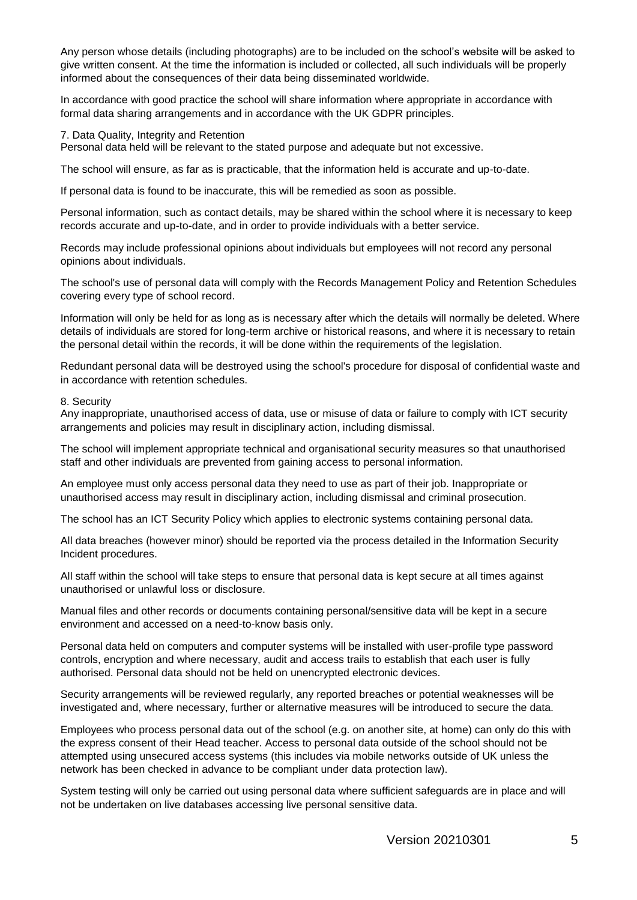Any person whose details (including photographs) are to be included on the school's website will be asked to give written consent. At the time the information is included or collected, all such individuals will be properly informed about the consequences of their data being disseminated worldwide.

In accordance with good practice the school will share information where appropriate in accordance with formal data sharing arrangements and in accordance with the UK GDPR principles.

### 7. Data Quality, Integrity and Retention

Personal data held will be relevant to the stated purpose and adequate but not excessive.

The school will ensure, as far as is practicable, that the information held is accurate and up-to-date.

If personal data is found to be inaccurate, this will be remedied as soon as possible.

Personal information, such as contact details, may be shared within the school where it is necessary to keep records accurate and up-to-date, and in order to provide individuals with a better service.

Records may include professional opinions about individuals but employees will not record any personal opinions about individuals.

The school's use of personal data will comply with the Records Management Policy and Retention Schedules covering every type of school record.

Information will only be held for as long as is necessary after which the details will normally be deleted. Where details of individuals are stored for long-term archive or historical reasons, and where it is necessary to retain the personal detail within the records, it will be done within the requirements of the legislation.

Redundant personal data will be destroyed using the school's procedure for disposal of confidential waste and in accordance with retention schedules.

#### 8. Security

Any inappropriate, unauthorised access of data, use or misuse of data or failure to comply with ICT security arrangements and policies may result in disciplinary action, including dismissal.

The school will implement appropriate technical and organisational security measures so that unauthorised staff and other individuals are prevented from gaining access to personal information.

An employee must only access personal data they need to use as part of their job. Inappropriate or unauthorised access may result in disciplinary action, including dismissal and criminal prosecution.

The school has an ICT Security Policy which applies to electronic systems containing personal data.

All data breaches (however minor) should be reported via the process detailed in the Information Security Incident procedures.

All staff within the school will take steps to ensure that personal data is kept secure at all times against unauthorised or unlawful loss or disclosure.

Manual files and other records or documents containing personal/sensitive data will be kept in a secure environment and accessed on a need-to-know basis only.

Personal data held on computers and computer systems will be installed with user-profile type password controls, encryption and where necessary, audit and access trails to establish that each user is fully authorised. Personal data should not be held on unencrypted electronic devices.

Security arrangements will be reviewed regularly, any reported breaches or potential weaknesses will be investigated and, where necessary, further or alternative measures will be introduced to secure the data.

Employees who process personal data out of the school (e.g. on another site, at home) can only do this with the express consent of their Head teacher. Access to personal data outside of the school should not be attempted using unsecured access systems (this includes via mobile networks outside of UK unless the network has been checked in advance to be compliant under data protection law).

System testing will only be carried out using personal data where sufficient safeguards are in place and will not be undertaken on live databases accessing live personal sensitive data.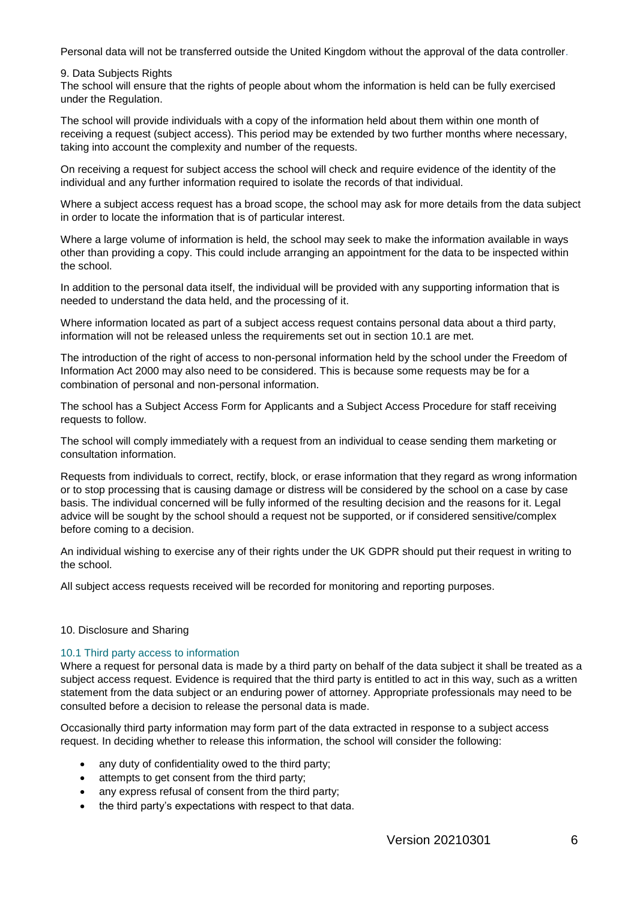Personal data will not be transferred outside the United Kingdom without the approval of the data controller.

9. Data Subjects Rights

The school will ensure that the rights of people about whom the information is held can be fully exercised under the Regulation.

The school will provide individuals with a copy of the information held about them within one month of receiving a request (subject access). This period may be extended by two further months where necessary, taking into account the complexity and number of the requests.

On receiving a request for subject access the school will check and require evidence of the identity of the individual and any further information required to isolate the records of that individual.

Where a subject access request has a broad scope, the school may ask for more details from the data subject in order to locate the information that is of particular interest.

Where a large volume of information is held, the school may seek to make the information available in ways other than providing a copy. This could include arranging an appointment for the data to be inspected within the school.

In addition to the personal data itself, the individual will be provided with any supporting information that is needed to understand the data held, and the processing of it.

Where information located as part of a subject access request contains personal data about a third party, information will not be released unless the requirements set out in section 10.1 are met.

The introduction of the right of access to non-personal information held by the school under the Freedom of Information Act 2000 may also need to be considered. This is because some requests may be for a combination of personal and non-personal information.

The school has a Subject Access Form for Applicants and a Subject Access Procedure for staff receiving requests to follow.

The school will comply immediately with a request from an individual to cease sending them marketing or consultation information.

Requests from individuals to correct, rectify, block, or erase information that they regard as wrong information or to stop processing that is causing damage or distress will be considered by the school on a case by case basis. The individual concerned will be fully informed of the resulting decision and the reasons for it. Legal advice will be sought by the school should a request not be supported, or if considered sensitive/complex before coming to a decision.

An individual wishing to exercise any of their rights under the UK GDPR should put their request in writing to the school.

All subject access requests received will be recorded for monitoring and reporting purposes.

## 10. Disclosure and Sharing

## 10.1 Third party access to information

Where a request for personal data is made by a third party on behalf of the data subject it shall be treated as a subject access request. Evidence is required that the third party is entitled to act in this way, such as a written statement from the data subject or an enduring power of attorney. Appropriate professionals may need to be consulted before a decision to release the personal data is made.

Occasionally third party information may form part of the data extracted in response to a subject access request. In deciding whether to release this information, the school will consider the following:

- any duty of confidentiality owed to the third party;
- attempts to get consent from the third party;
- any express refusal of consent from the third party:
- the third party's expectations with respect to that data.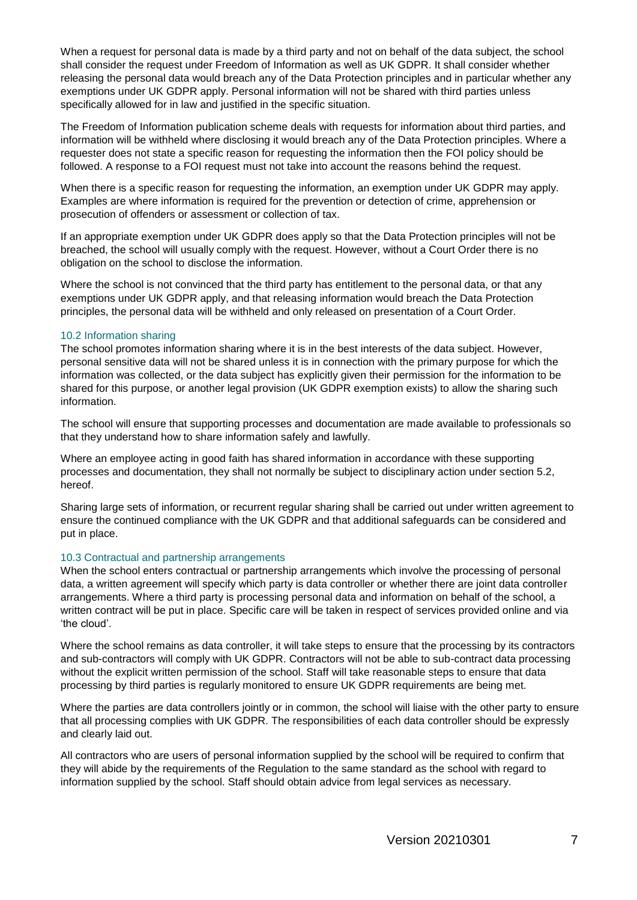When a request for personal data is made by a third party and not on behalf of the data subject, the school shall consider the request under Freedom of Information as well as UK GDPR. It shall consider whether releasing the personal data would breach any of the Data Protection principles and in particular whether any exemptions under UK GDPR apply. Personal information will not be shared with third parties unless specifically allowed for in law and justified in the specific situation.

The Freedom of Information publication scheme deals with requests for information about third parties, and information will be withheld where disclosing it would breach any of the Data Protection principles. Where a requester does not state a specific reason for requesting the information then the FOI policy should be followed. A response to a FOI request must not take into account the reasons behind the request.

When there is a specific reason for requesting the information, an exemption under UK GDPR may apply. Examples are where information is required for the prevention or detection of crime, apprehension or prosecution of offenders or assessment or collection of tax.

If an appropriate exemption under UK GDPR does apply so that the Data Protection principles will not be breached, the school will usually comply with the request. However, without a Court Order there is no obligation on the school to disclose the information.

Where the school is not convinced that the third party has entitlement to the personal data, or that any exemptions under UK GDPR apply, and that releasing information would breach the Data Protection principles, the personal data will be withheld and only released on presentation of a Court Order.

## 10.2 Information sharing

The school promotes information sharing where it is in the best interests of the data subject. However, personal sensitive data will not be shared unless it is in connection with the primary purpose for which the information was collected, or the data subject has explicitly given their permission for the information to be shared for this purpose, or another legal provision (UK GDPR exemption exists) to allow the sharing such information.

The school will ensure that supporting processes and documentation are made available to professionals so that they understand how to share information safely and lawfully.

Where an employee acting in good faith has shared information in accordance with these supporting processes and documentation, they shall not normally be subject to disciplinary action under section 5.2, hereof.

Sharing large sets of information, or recurrent regular sharing shall be carried out under written agreement to ensure the continued compliance with the UK GDPR and that additional safeguards can be considered and put in place.

## 10.3 Contractual and partnership arrangements

When the school enters contractual or partnership arrangements which involve the processing of personal data, a written agreement will specify which party is data controller or whether there are joint data controller arrangements. Where a third party is processing personal data and information on behalf of the school, a written contract will be put in place. Specific care will be taken in respect of services provided online and via 'the cloud'.

Where the school remains as data controller, it will take steps to ensure that the processing by its contractors and sub-contractors will comply with UK GDPR. Contractors will not be able to sub-contract data processing without the explicit written permission of the school. Staff will take reasonable steps to ensure that data processing by third parties is regularly monitored to ensure UK GDPR requirements are being met.

Where the parties are data controllers jointly or in common, the school will liaise with the other party to ensure that all processing complies with UK GDPR. The responsibilities of each data controller should be expressly and clearly laid out.

All contractors who are users of personal information supplied by the school will be required to confirm that they will abide by the requirements of the Regulation to the same standard as the school with regard to information supplied by the school. Staff should obtain advice from legal services as necessary.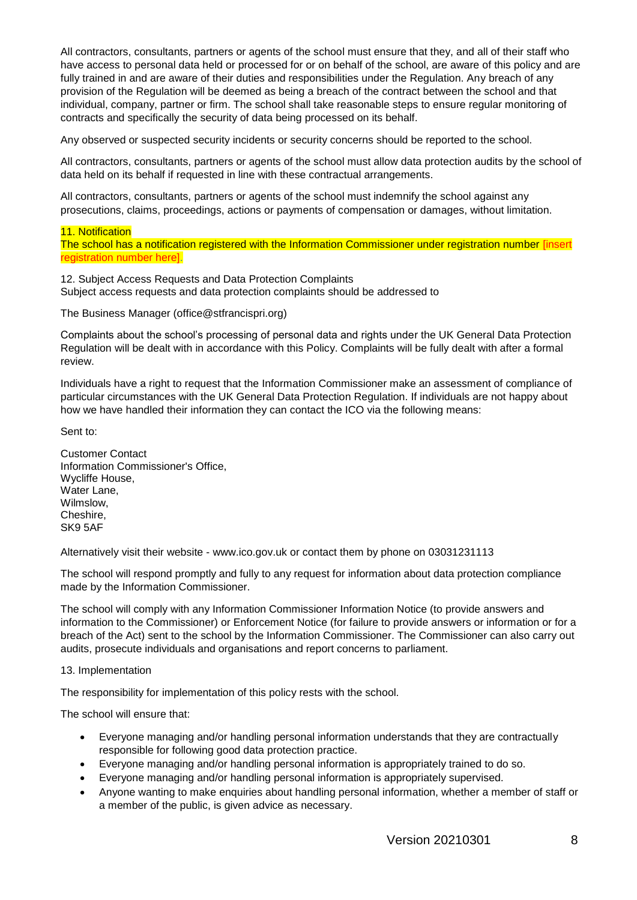All contractors, consultants, partners or agents of the school must ensure that they, and all of their staff who have access to personal data held or processed for or on behalf of the school, are aware of this policy and are fully trained in and are aware of their duties and responsibilities under the Regulation. Any breach of any provision of the Regulation will be deemed as being a breach of the contract between the school and that individual, company, partner or firm. The school shall take reasonable steps to ensure regular monitoring of contracts and specifically the security of data being processed on its behalf.

Any observed or suspected security incidents or security concerns should be reported to the school.

All contractors, consultants, partners or agents of the school must allow data protection audits by the school of data held on its behalf if requested in line with these contractual arrangements.

All contractors, consultants, partners or agents of the school must indemnify the school against any prosecutions, claims, proceedings, actions or payments of compensation or damages, without limitation.

11. Notification

The school has a notification registered with the Information Commissioner under registration number [insert registration number here].

12. Subject Access Requests and Data Protection Complaints Subject access requests and data protection complaints should be addressed to

The Business Manager (office@stfrancispri.org)

Complaints about the school's processing of personal data and rights under the UK General Data Protection Regulation will be dealt with in accordance with this Policy. Complaints will be fully dealt with after a formal review.

Individuals have a right to request that the Information Commissioner make an assessment of compliance of particular circumstances with the UK General Data Protection Regulation. If individuals are not happy about how we have handled their information they can contact the ICO via the following means:

Sent to:

Customer Contact Information Commissioner's Office, Wycliffe House, Water Lane, Wilmslow, Cheshire, SK9 5AF

Alternatively visit their website - www.ico.gov.uk or contact them by phone on 03031231113

The school will respond promptly and fully to any request for information about data protection compliance made by the Information Commissioner.

The school will comply with any Information Commissioner Information Notice (to provide answers and information to the Commissioner) or Enforcement Notice (for failure to provide answers or information or for a breach of the Act) sent to the school by the Information Commissioner. The Commissioner can also carry out audits, prosecute individuals and organisations and report concerns to parliament.

13. Implementation

The responsibility for implementation of this policy rests with the school.

The school will ensure that:

- Everyone managing and/or handling personal information understands that they are contractually responsible for following good data protection practice.
- Everyone managing and/or handling personal information is appropriately trained to do so.
- Everyone managing and/or handling personal information is appropriately supervised.
- Anyone wanting to make enquiries about handling personal information, whether a member of staff or a member of the public, is given advice as necessary.